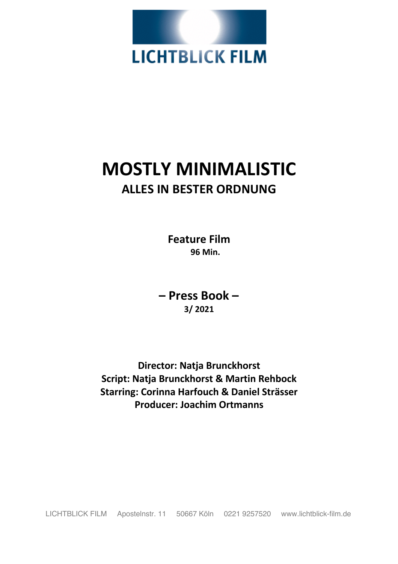

# **MOSTLY MINIMALISTIC ALLES IN BESTER ORDNUNG**

**Feature Film 96 Min.**

**– Press Book – 3/ 2021**

**Director: Natja Brunckhorst Script: Natja Brunckhorst & Martin Rehbock Starring: Corinna Harfouch & Daniel Strässer Producer: Joachim Ortmanns**

LICHTBLICK FILM Apostelnstr. 11 50667 Köln 0221 9257520 www.lichtblick-film.de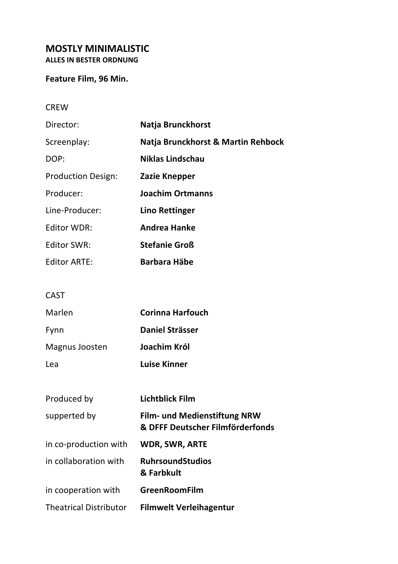# **MOSTLY MINIMALISTIC**

**ALLES IN BESTER ORDNUNG**

#### **Feature Film, 96 Min.**

**CREW** 

Director: **Natja Brunckhorst** Screenplay: **Natja Brunckhorst & Martin Rehbock** DOP: **Niklas Lindschau** Production Design: **Zazie Knepper** Producer: **Joachim Ortmanns** Line-Producer: **Lino Rettinger** Editor WDR: **Andrea Hanke** Editor SWR: **Stefanie Groß** Editor ARTE: **Barbara Häbe** CAST Marlen **Corinna Harfouch** Fynn **Daniel Strässer** Magnus Joosten **Joachim Król** Lea **Luise Kinner** Produced by **Lichtblick Film** supperted by **Film- und Medienstiftung NRW & DFFF Deutscher Filmförderfonds** in co-production with **WDR, SWR, ARTE** in collaboration with **RuhrsoundStudios & Farbkult** in cooperation with **GreenRoomFilm** Theatrical Distributor **Filmwelt Verleihagentur**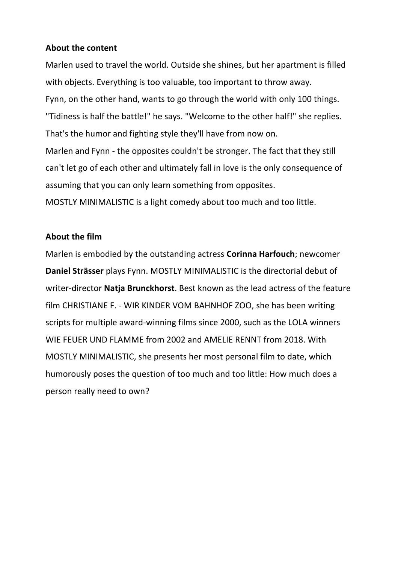#### **About the content**

Marlen used to travel the world. Outside she shines, but her apartment is filled with objects. Everything is too valuable, too important to throw away. Fynn, on the other hand, wants to go through the world with only 100 things. "Tidiness is half the battle!" he says. "Welcome to the other half!" she replies. That's the humor and fighting style they'll have from now on. Marlen and Fynn - the opposites couldn't be stronger. The fact that they still can't let go of each other and ultimately fall in love is the only consequence of assuming that you can only learn something from opposites. MOSTLY MINIMALISTIC is a light comedy about too much and too little.

#### **About the film**

Marlen is embodied by the outstanding actress **Corinna Harfouch**; newcomer **Daniel Strässer** plays Fynn. MOSTLY MINIMALISTIC is the directorial debut of writer-director **Natja Brunckhorst**. Best known as the lead actress of the feature film CHRISTIANE F. - WIR KINDER VOM BAHNHOF ZOO, she has been writing scripts for multiple award-winning films since 2000, such as the LOLA winners WIE FEUER UND FLAMME from 2002 and AMELIE RENNT from 2018. With MOSTLY MINIMALISTIC, she presents her most personal film to date, which humorously poses the question of too much and too little: How much does a person really need to own?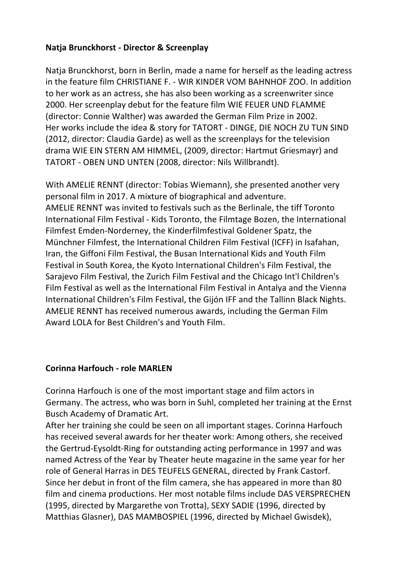### **Natja Brunckhorst - Director & Screenplay**

Natja Brunckhorst, born in Berlin, made a name for herself as the leading actress in the feature film CHRISTIANE F. - WIR KINDER VOM BAHNHOF ZOO. In addition to her work as an actress, she has also been working as a screenwriter since 2000. Her screenplay debut for the feature film WIE FEUER UND FLAMME (director: Connie Walther) was awarded the German Film Prize in 2002. Her works include the idea & story for TATORT - DINGE, DIE NOCH ZU TUN SIND (2012, director: Claudia Garde) as well as the screenplays for the television drama WIE EIN STERN AM HIMMEL, (2009, director: Hartmut Griesmayr) and TATORT - OBEN UND UNTEN (2008, director: Nils Willbrandt).

With AMELIE RENNT (director: Tobias Wiemann), she presented another very personal film in 2017. A mixture of biographical and adventure. AMELIE RENNT was invited to festivals such as the Berlinale, the tiff Toronto International Film Festival - Kids Toronto, the Filmtage Bozen, the International Filmfest Emden-Norderney, the Kinderfilmfestival Goldener Spatz, the Münchner Filmfest, the International Children Film Festival (ICFF) in Isafahan, Iran, the Giffoni Film Festival, the Busan International Kids and Youth Film Festival in South Korea, the Kyoto International Children's Film Festival, the Sarajevo Film Festival, the Zurich Film Festival and the Chicago Int'l Children's Film Festival as well as the International Film Festival in Antalya and the Vienna International Children's Film Festival, the Gijón IFF and the Tallinn Black Nights. AMELIE RENNT has received numerous awards, including the German Film Award LOLA for Best Children's and Youth Film.

#### **Corinna Harfouch - role MARLEN**

Corinna Harfouch is one of the most important stage and film actors in Germany. The actress, who was born in Suhl, completed her training at the Ernst Busch Academy of Dramatic Art.

After her training she could be seen on all important stages. Corinna Harfouch has received several awards for her theater work: Among others, she received the Gertrud-Eysoldt-Ring for outstanding acting performance in 1997 and was named Actress of the Year by Theater heute magazine in the same year for her role of General Harras in DES TEUFELS GENERAL, directed by Frank Castorf. Since her debut in front of the film camera, she has appeared in more than 80 film and cinema productions. Her most notable films include DAS VERSPRECHEN (1995, directed by Margarethe von Trotta), SEXY SADIE (1996, directed by Matthias Glasner), DAS MAMBOSPIEL (1996, directed by Michael Gwisdek),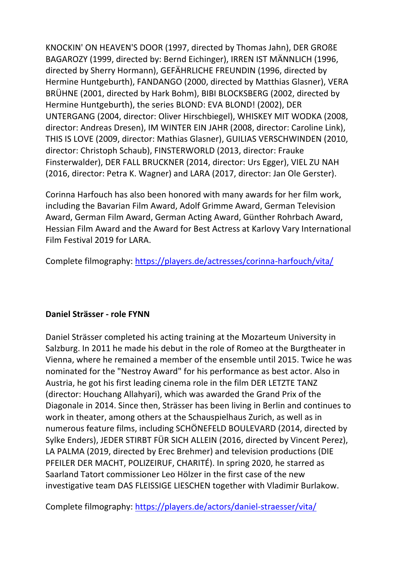KNOCKIN' ON HEAVEN'S DOOR (1997, directed by Thomas Jahn), DER GROßE BAGAROZY (1999, directed by: Bernd Eichinger), IRREN IST MÄNNLICH (1996, directed by Sherry Hormann), GEFÄHRLICHE FREUNDIN (1996, directed by Hermine Huntgeburth), FANDANGO (2000, directed by Matthias Glasner), VERA BRÜHNE (2001, directed by Hark Bohm), BIBI BLOCKSBERG (2002, directed by Hermine Huntgeburth), the series BLOND: EVA BLOND! (2002), DER UNTERGANG (2004, director: Oliver Hirschbiegel), WHISKEY MIT WODKA (2008, director: Andreas Dresen), IM WINTER EIN JAHR (2008, director: Caroline Link), THIS IS LOVE (2009, director: Mathias Glasner), GUILIAS VERSCHWINDEN (2010, director: Christoph Schaub), FINSTERWORLD (2013, director: Frauke Finsterwalder), DER FALL BRUCKNER (2014, director: Urs Egger), VIEL ZU NAH (2016, director: Petra K. Wagner) and LARA (2017, director: Jan Ole Gerster).

Corinna Harfouch has also been honored with many awards for her film work, including the Bavarian Film Award, Adolf Grimme Award, German Television Award, German Film Award, German Acting Award, Günther Rohrbach Award, Hessian Film Award and the Award for Best Actress at Karlovy Vary International Film Festival 2019 for LARA.

Complete filmography: https://players.de/actresses/corinna-harfouch/vita/

## **Daniel Strässer - role FYNN**

Daniel Strässer completed his acting training at the Mozarteum University in Salzburg. In 2011 he made his debut in the role of Romeo at the Burgtheater in Vienna, where he remained a member of the ensemble until 2015. Twice he was nominated for the "Nestroy Award" for his performance as best actor. Also in Austria, he got his first leading cinema role in the film DER LETZTE TANZ (director: Houchang Allahyari), which was awarded the Grand Prix of the Diagonale in 2014. Since then, Strässer has been living in Berlin and continues to work in theater, among others at the Schauspielhaus Zurich, as well as in numerous feature films, including SCHÖNEFELD BOULEVARD (2014, directed by Sylke Enders), JEDER STIRBT FÜR SICH ALLEIN (2016, directed by Vincent Perez), LA PALMA (2019, directed by Erec Brehmer) and television productions (DIE PFEILER DER MACHT, POLIZEIRUF, CHARITÉ). In spring 2020, he starred as Saarland Tatort commissioner Leo Hölzer in the first case of the new investigative team DAS FLEISSIGE LIESCHEN together with Vladimir Burlakow.

Complete filmography: https://players.de/actors/daniel-straesser/vita/